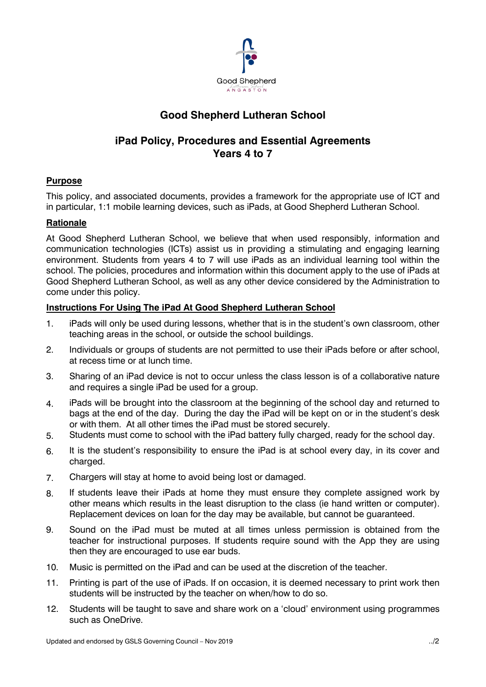

# **Good Shepherd Lutheran School**

## **iPad Policy, Procedures and Essential Agreements Years 4 to 7**

### **Purpose**

This policy, and associated documents, provides a framework for the appropriate use of ICT and in particular, 1:1 mobile learning devices, such as iPads, at Good Shepherd Lutheran School.

### **Rationale**

At Good Shepherd Lutheran School, we believe that when used responsibly, information and communication technologies (ICTs) assist us in providing a stimulating and engaging learning environment. Students from years 4 to 7 will use iPads as an individual learning tool within the school. The policies, procedures and information within this document apply to the use of iPads at Good Shepherd Lutheran School, as well as any other device considered by the Administration to come under this policy.

### **Instructions For Using The iPad At Good Shepherd Lutheran School**

- 1. iPads will only be used during lessons, whether that is in the student's own classroom, other teaching areas in the school, or outside the school buildings.
- 2. Individuals or groups of students are not permitted to use their iPads before or after school, at recess time or at lunch time.
- 3. Sharing of an iPad device is not to occur unless the class lesson is of a collaborative nature and requires a single iPad be used for a group.
- 4. iPads will be brought into the classroom at the beginning of the school day and returned to bags at the end of the day. During the day the iPad will be kept on or in the student's desk or with them. At all other times the iPad must be stored securely.
- 5. Students must come to school with the iPad battery fully charged, ready for the school day.
- 6. It is the student's responsibility to ensure the iPad is at school every day, in its cover and charged.
- 7. Chargers will stay at home to avoid being lost or damaged.
- 8. If students leave their iPads at home they must ensure they complete assigned work by other means which results in the least disruption to the class (ie hand written or computer). Replacement devices on loan for the day may be available, but cannot be guaranteed.
- 9. Sound on the iPad must be muted at all times unless permission is obtained from the teacher for instructional purposes. If students require sound with the App they are using then they are encouraged to use ear buds.
- 10. Music is permitted on the iPad and can be used at the discretion of the teacher.
- 11. Printing is part of the use of iPads. If on occasion, it is deemed necessary to print work then students will be instructed by the teacher on when/how to do so.
- 12. Students will be taught to save and share work on a 'cloud' environment using programmes such as OneDrive.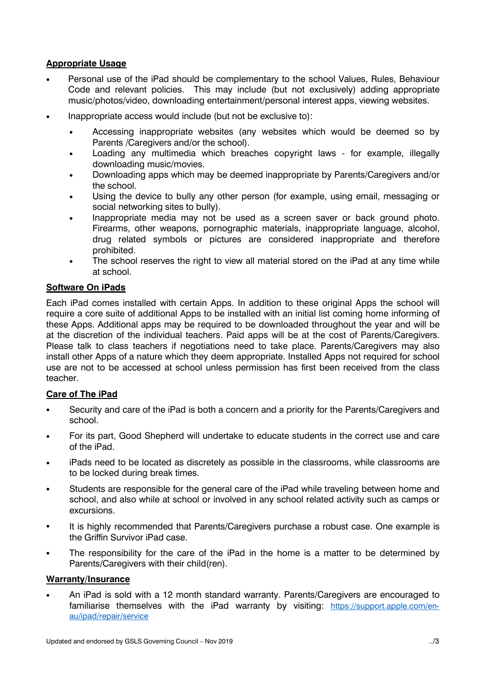### **Appropriate Usage**

- Personal use of the iPad should be complementary to the school Values, Rules, Behaviour Code and relevant policies. This may include (but not exclusively) adding appropriate music/photos/video, downloading entertainment/personal interest apps, viewing websites.
- Inappropriate access would include (but not be exclusive to):
	- Accessing inappropriate websites (any websites which would be deemed so by Parents /Caregivers and/or the school).
	- Loading any multimedia which breaches copyright laws for example, illegally downloading music/movies.
	- Downloading apps which may be deemed inappropriate by Parents/Caregivers and/or the school.
	- Using the device to bully any other person (for example, using email, messaging or social networking sites to bully).
	- Inappropriate media may not be used as a screen saver or back ground photo. Firearms, other weapons, pornographic materials, inappropriate language, alcohol, drug related symbols or pictures are considered inappropriate and therefore prohibited.
	- The school reserves the right to view all material stored on the iPad at any time while at school.

### **Software On iPads**

Each iPad comes installed with certain Apps. In addition to these original Apps the school will require a core suite of additional Apps to be installed with an initial list coming home informing of these Apps. Additional apps may be required to be downloaded throughout the year and will be at the discretion of the individual teachers. Paid apps will be at the cost of Parents/Caregivers. Please talk to class teachers if negotiations need to take place. Parents/Caregivers may also install other Apps of a nature which they deem appropriate. Installed Apps not required for school use are not to be accessed at school unless permission has first been received from the class teacher.

### **Care of The iPad**

- Security and care of the iPad is both a concern and a priority for the Parents/Caregivers and school.
- For its part, Good Shepherd will undertake to educate students in the correct use and care of the iPad.
- iPads need to be located as discretely as possible in the classrooms, while classrooms are to be locked during break times.
- Students are responsible for the general care of the iPad while traveling between home and school, and also while at school or involved in any school related activity such as camps or excursions.
- It is highly recommended that Parents/Caregivers purchase a robust case. One example is the Griffin Survivor iPad case.
- The responsibility for the care of the iPad in the home is a matter to be determined by Parents/Caregivers with their child(ren).

### **Warranty/Insurance**

• An iPad is sold with a 12 month standard warranty. Parents/Caregivers are encouraged to familiarise themselves with the iPad warranty by visiting: [https://support.apple.com/en](https://support.apple.com/en-au/ipad/repair/service)[au/ipad/repair/service](https://support.apple.com/en-au/ipad/repair/service)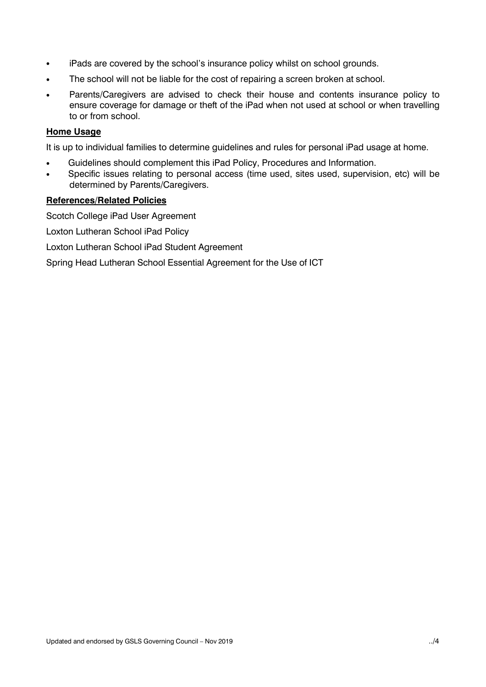- iPads are covered by the school's insurance policy whilst on school grounds.
- The school will not be liable for the cost of repairing a screen broken at school.
- Parents/Caregivers are advised to check their house and contents insurance policy to ensure coverage for damage or theft of the iPad when not used at school or when travelling to or from school.

### **Home Usage**

It is up to individual families to determine guidelines and rules for personal iPad usage at home.

- Guidelines should complement this iPad Policy, Procedures and Information.
- Specific issues relating to personal access (time used, sites used, supervision, etc) will be determined by Parents/Caregivers.

### **References/Related Policies**

Scotch College iPad User Agreement

Loxton Lutheran School iPad Policy

Loxton Lutheran School iPad Student Agreement

Spring Head Lutheran School Essential Agreement for the Use of ICT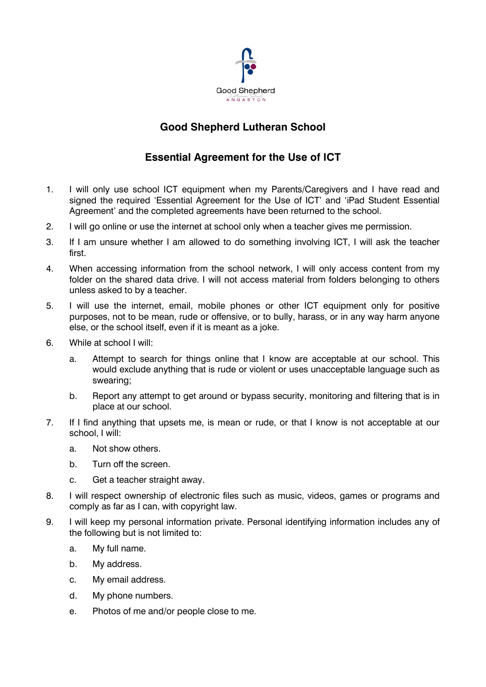

# **Good Shepherd Lutheran School**

# **Essential Agreement for the Use of ICT**

- 1. I will only use school ICT equipment when my Parents/Caregivers and I have read and signed the required 'Essential Agreement for the Use of ICT' and 'iPad Student Essential Agreement' and the completed agreements have been returned to the school.
- 2. I will go online or use the internet at school only when a teacher gives me permission.
- 3. If I am unsure whether I am allowed to do something involving ICT, I will ask the teacher first.
- 4. When accessing information from the school network, I will only access content from my folder on the shared data drive. I will not access material from folders belonging to others unless asked to by a teacher.
- 5. I will use the internet, email, mobile phones or other ICT equipment only for positive purposes, not to be mean, rude or offensive, or to bully, harass, or in any way harm anyone else, or the school itself, even if it is meant as a joke.
- 6. While at school I will:
	- a. Attempt to search for things online that I know are acceptable at our school. This would exclude anything that is rude or violent or uses unacceptable language such as swearing;
	- b. Report any attempt to get around or bypass security, monitoring and filtering that is in place at our school.
- 7. If I find anything that upsets me, is mean or rude, or that I know is not acceptable at our school, I will:
	- a. Not show others.
	- b. Turn off the screen.
	- c. Get a teacher straight away.
- 8. I will respect ownership of electronic files such as music, videos, games or programs and comply as far as I can, with copyright law.
- 9. I will keep my personal information private. Personal identifying information includes any of the following but is not limited to:
	- a. My full name.
	- b. My address.
	- c. My email address.
	- d. My phone numbers.
	- e. Photos of me and/or people close to me.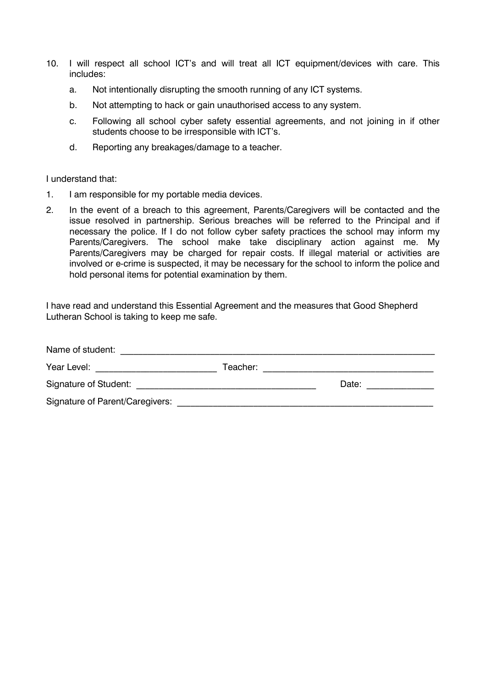- 10. I will respect all school ICT's and will treat all ICT equipment/devices with care. This includes:
	- a. Not intentionally disrupting the smooth running of any ICT systems.
	- b. Not attempting to hack or gain unauthorised access to any system.
	- c. Following all school cyber safety essential agreements, and not joining in if other students choose to be irresponsible with ICT's.
	- d. Reporting any breakages/damage to a teacher.

#### I understand that:

- 1. I am responsible for my portable media devices.
- 2. In the event of a breach to this agreement, Parents/Caregivers will be contacted and the issue resolved in partnership. Serious breaches will be referred to the Principal and if necessary the police. If I do not follow cyber safety practices the school may inform my Parents/Caregivers. The school make take disciplinary action against me. My Parents/Caregivers may be charged for repair costs. If illegal material or activities are involved or e-crime is suspected, it may be necessary for the school to inform the police and hold personal items for potential examination by them.

I have read and understand this Essential Agreement and the measures that Good Shepherd Lutheran School is taking to keep me safe.

| Name of student:                       |          |       |  |
|----------------------------------------|----------|-------|--|
| Year Level:                            | Teacher: |       |  |
| Signature of Student:                  |          | Date: |  |
| <b>Signature of Parent/Caregivers:</b> |          |       |  |